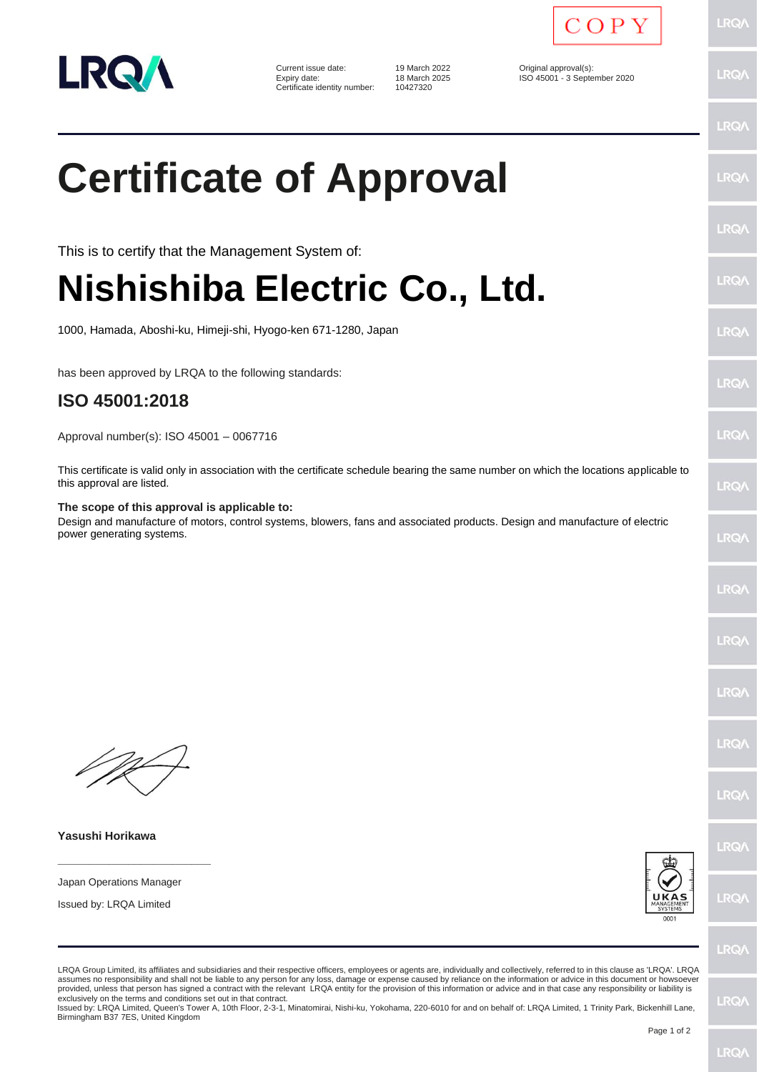

Current issue date: 19 March 2022 <br>
Expiry date: 18 March 2025 <br>
19 March 2025 <br>
CISO 45001 - 3 Septe Certificate identity number:

18 March 2025 ISO 45001 - 3 September 2020<br>10427320



LRQ/

**LRQ/** 

LRQ/

**LRO/** 

**LRQ** 

LRQ/

LRQ/

**LRQ/** 

LRQ/

LRQ/

LRQ/

LRQ/

LRQ/

LRQ/

LRQ/

LRQ/

LRQ/

**IRQ/** 

 $PQ$ 

## **Certificate of Approval**

This is to certify that the Management System of:

## **Nishishiba Electric Co., Ltd.**

1000, Hamada, Aboshi-ku, Himeji-shi, Hyogo-ken 671-1280, Japan

has been approved by LRQA to the following standards:

## **ISO 45001:2018**

Approval number(s): ISO 45001 – 0067716

This certificate is valid only in association with the certificate schedule bearing the same number on which the locations applicable to this approval are listed.

## **The scope of this approval is applicable to:**

Design and manufacture of motors, control systems, blowers, fans and associated products. Design and manufacture of electric power generating systems.

**Yasushi Horikawa**

Japan Operations Manager

**\_\_\_\_\_\_\_\_\_\_\_\_\_\_\_\_\_\_\_\_\_\_\_\_**

Issued by: LRQA Limited



LRQA Group Limited, its affiliates and subsidiaries and their respective officers, employees or agents are, individually and collectively, referred to in this clause as 'LRQA'. LRQA assumes no responsibility and shall not be liable to any person for any loss, damage or expense caused by reliance on the information or advice in this document or howsoever provided, unless that person has signed a contract with the relevant LRQA entity for the provision of this information or advice and in that case any responsibility or liability is exclusively on the terms and conditions set out in that contract. LRQ/

Issued by: LRQA Limited, Queen's Tower A, 10th Floor, 2-3-1, Minatomirai, Nishi-ku, Yokohama, 220-6010 for and on behalf of: LRQA Limited, 1 Trinity Park, Bickenhill Lane, Birmingham B37 7ES, United Kingdom